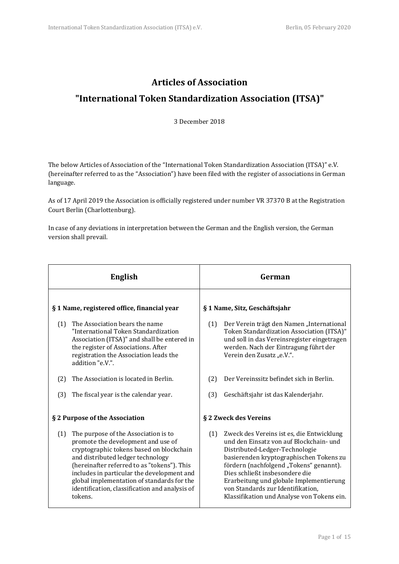## **Articles of Association**

# **"International Token Standardization Association (ITSA)"**

3 December 2018

The below Articles of Association of the "International Token Standardization Association (ITSA)" e.V. (hereinafter referred to as the "Association") have been filed with the register of associations in German language.

As of 17 April 2019 the Association is officially registered under number VR 37370 B at the Registration Court Berlin (Charlottenburg).

In case of any deviations in interpretation between the German and the English version, the German version shall prevail.

| English                                     |                                                                                                                                                                                                                                                                                                                                                                     | German                        |                                                                                                                                                                                                                                                                                                                                                                              |
|---------------------------------------------|---------------------------------------------------------------------------------------------------------------------------------------------------------------------------------------------------------------------------------------------------------------------------------------------------------------------------------------------------------------------|-------------------------------|------------------------------------------------------------------------------------------------------------------------------------------------------------------------------------------------------------------------------------------------------------------------------------------------------------------------------------------------------------------------------|
| § 1 Name, registered office, financial year |                                                                                                                                                                                                                                                                                                                                                                     | § 1 Name, Sitz, Geschäftsjahr |                                                                                                                                                                                                                                                                                                                                                                              |
| (1)                                         | The Association bears the name<br>"International Token Standardization<br>Association (ITSA)" and shall be entered in<br>the register of Associations. After<br>registration the Association leads the<br>addition "e.V.".                                                                                                                                          | (1)                           | Der Verein trägt den Namen "International<br>Token Standardization Association (ITSA)"<br>und soll in das Vereinsregister eingetragen<br>werden. Nach der Eintragung führt der<br>Verein den Zusatz "e.V.".                                                                                                                                                                  |
| (2)                                         | The Association is located in Berlin.                                                                                                                                                                                                                                                                                                                               | (2)                           | Der Vereinssitz befindet sich in Berlin.                                                                                                                                                                                                                                                                                                                                     |
| (3)                                         | The fiscal year is the calendar year.                                                                                                                                                                                                                                                                                                                               | (3)                           | Geschäftsjahr ist das Kalenderjahr.                                                                                                                                                                                                                                                                                                                                          |
| § 2 Purpose of the Association              |                                                                                                                                                                                                                                                                                                                                                                     | § 2 Zweck des Vereins         |                                                                                                                                                                                                                                                                                                                                                                              |
| (1)                                         | The purpose of the Association is to<br>promote the development and use of<br>cryptographic tokens based on blockchain<br>and distributed ledger technology<br>(hereinafter referred to as "tokens"). This<br>includes in particular the development and<br>global implementation of standards for the<br>identification, classification and analysis of<br>tokens. | (1)                           | Zweck des Vereins ist es, die Entwicklung<br>und den Einsatz von auf Blockchain- und<br>Distributed-Ledger-Technologie<br>basierenden kryptographischen Tokens zu<br>fördern (nachfolgend "Tokens" genannt).<br>Dies schließt insbesondere die<br>Erarbeitung und globale Implementierung<br>von Standards zur Identifikation,<br>Klassifikation und Analyse von Tokens ein. |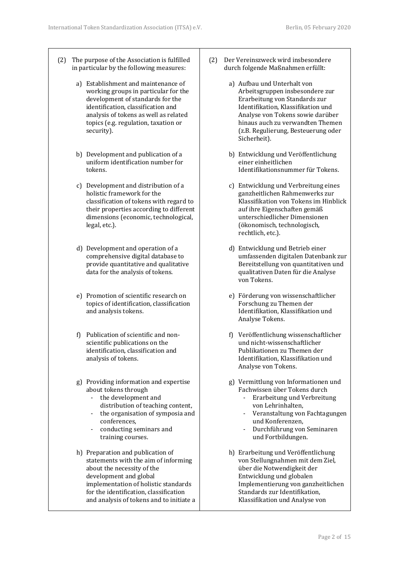- (2) The purpose of the Association is fulfilled in particular by the following measures:
	- a) Establishment and maintenance of working groups in particular for the development of standards for the identification, classification and analysis of tokens as well as related topics (e.g. regulation, taxation or security).
	- b) Development and publication of a uniform identification number for tokens.
	- c) Development and distribution of a holistic framework for the classification of tokens with regard to their properties according to different dimensions (economic, technological, legal, etc.).
	- d) Development and operation of a comprehensive digital database to provide quantitative and qualitative data for the analysis of tokens.
	- e) Promotion of scientific research on topics of identification, classification and analysis tokens.
	- f) Publication of scientific and nonscientific publications on the identification, classification and analysis of tokens.
	- g) Providing information and expertise about tokens through
		- the development and distribution of teaching content,
		- the organisation of symposia and conferences,
		- conducting seminars and training courses.
	- h) Preparation and publication of statements with the aim of informing about the necessity of the development and global implementation of holistic standards for the identification, classification and analysis of tokens and to initiate a
- (2) Der Vereinszweck wird insbesondere durch folgende Maßnahmen erfüllt:
	- a) Aufbau und Unterhalt von Arbeitsgruppen insbesondere zur Erarbeitung von Standards zur Identifikation, Klassifikation und Analyse von Tokens sowie darüber hinaus auch zu verwandten Themen (z.B. Regulierung, Besteuerung oder Sicherheit).
	- b) Entwicklung und Veröffentlichung einer einheitlichen Identifikationsnummer für Tokens.
	- c) Entwicklung und Verbreitung eines ganzheitlichen Rahmenwerks zur Klassifikation von Tokens im Hinblick auf ihre Eigenschaften gemäß unterschiedlicher Dimensionen (ökonomisch, technologisch, rechtlich, etc.).
	- d) Entwicklung und Betrieb einer umfassenden digitalen Datenbank zur Bereitstellung von quantitativen und qualitativen Daten für die Analyse von Tokens.
	- e) Förderung von wissenschaftlicher Forschung zu Themen der Identifikation, Klassifikation und Analyse Tokens.
	- f) Veröffentlichung wissenschaftlicher und nicht-wissenschaftlicher Publikationen zu Themen der Identifikation, Klassifikation und Analyse von Tokens.
	- g) Vermittlung von Informationen und Fachwissen über Tokens durch
		- Erarbeitung und Verbreitung von Lehrinhalten,
		- Veranstaltung von Fachtagungen und Konferenzen,
		- Durchführung von Seminaren und Fortbildungen.
	- h) Erarbeitung und Veröffentlichung von Stellungnahmen mit dem Ziel, über die Notwendigkeit der Entwicklung und globalen Implementierung von ganzheitlichen Standards zur Identifikation, Klassifikation und Analyse von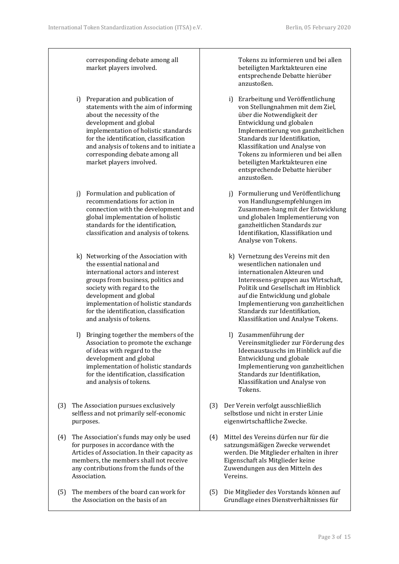#### corresponding debate among all market players involved.

- i) Preparation and publication of statements with the aim of informing about the necessity of the development and global implementation of holistic standards for the identification, classification and analysis of tokens and to initiate a corresponding debate among all market players involved.
- j) Formulation and publication of recommendations for action in connection with the development and global implementation of holistic standards for the identification, classification and analysis of tokens.
- k) Networking of the Association with the essential national and international actors and interest groups from business, politics and society with regard to the development and global implementation of holistic standards for the identification, classification and analysis of tokens.
- l) Bringing together the members of the Association to promote the exchange of ideas with regard to the development and global implementation of holistic standards for the identification, classification and analysis of tokens.
- (3) The Association pursues exclusively selfless and not primarily self-economic purposes.
- (4) The Association's funds may only be used for purposes in accordance with the Articles of Association. In their capacity as members, the members shall not receive any contributions from the funds of the Association.
- (5) The members of the board can work for the Association on the basis of an

Tokens zu informieren und bei allen beteiligten Marktakteuren eine entsprechende Debatte hierüber anzustoßen.

- i) Erarbeitung und Veröffentlichung von Stellungnahmen mit dem Ziel, über die Notwendigkeit der Entwicklung und globalen Implementierung von ganzheitlichen Standards zur Identifikation, Klassifikation und Analyse von Tokens zu informieren und bei allen beteiligten Marktakteuren eine entsprechende Debatte hierüber anzustoßen.
- j) Formulierung und Veröffentlichung von Handlungsempfehlungen im Zusammen-hang mit der Entwicklung und globalen Implementierung von ganzheitlichen Standards zur Identifikation, Klassifikation und Analyse von Tokens.
- k) Vernetzung des Vereins mit den wesentlichen nationalen und internationalen Akteuren und Interessens-gruppen aus Wirtschaft, Politik und Gesellschaft im Hinblick auf die Entwicklung und globale Implementierung von ganzheitlichen Standards zur Identifikation, Klassifikation und Analyse Tokens.
- l) Zusammenführung der Vereinsmitglieder zur Förderung des Ideenaustauschs im Hinblick auf die Entwicklung und globale Implementierung von ganzheitlichen Standards zur Identifikation, Klassifikation und Analyse von Tokens.
- (3) Der Verein verfolgt ausschließlich selbstlose und nicht in erster Linie eigenwirtschaftliche Zwecke.
- (4) Mittel des Vereins dürfen nur für die satzungsmäßigen Zwecke verwendet werden. Die Mitglieder erhalten in ihrer Eigenschaft als Mitglieder keine Zuwendungen aus den Mitteln des Vereins.
- (5) Die Mitglieder des Vorstands können auf Grundlage eines Dienstverhältnisses für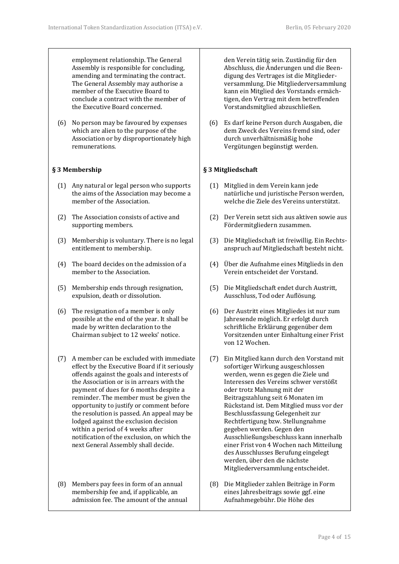employment relationship. The General Assembly is responsible for concluding, amending and terminating the contract. The General Assembly may authorise a member of the Executive Board to conclude a contract with the member of the Executive Board concerned.

(6) No person may be favoured by expenses which are alien to the purpose of the Association or by disproportionately high remunerations.

## **§ 3 Membership**

- (1) Any natural or legal person who supports the aims of the Association may become a member of the Association.
- (2) The Association consists of active and supporting members.
- (3) Membership is voluntary. There is no legal entitlement to membership.
- (4) The board decides on the admission of a member to the Association.
- (5) Membership ends through resignation, expulsion, death or dissolution.
- (6) The resignation of a member is only possible at the end of the year. It shall be made by written declaration to the Chairman subject to 12 weeks' notice.
- (7) A member can be excluded with immediate effect by the Executive Board if it seriously offends against the goals and interests of the Association or is in arrears with the payment of dues for 6 months despite a reminder. The member must be given the opportunity to justify or comment before the resolution is passed. An appeal may be lodged against the exclusion decision within a period of 4 weeks after notification of the exclusion, on which the next General Assembly shall decide.
- (8) Members pay fees in form of an annual membership fee and, if applicable, an admission fee. The amount of the annual

den Verein tätig sein. Zuständig für den Abschluss, die Änderungen und die Beendigung des Vertrages ist die Mitgliederversammlung. Die Mitgliederversammlung kann ein Mitglied des Vorstands ermächtigen, den Vertrag mit dem betreffenden Vorstandsmitglied abzuschließen.

(6) Es darf keine Person durch Ausgaben, die dem Zweck des Vereins fremd sind, oder durch unverhältnismäßig hohe Vergütungen begünstigt werden.

## **§ 3 Mitgliedschaft**

- (1) Mitglied in dem Verein kann jede natürliche und juristische Person werden, welche die Ziele des Vereins unterstützt.
- (2) Der Verein setzt sich aus aktiven sowie aus Fördermitgliedern zusammen.
- (3) Die Mitgliedschaft ist freiwillig. Ein Rechtsanspruch auf Mitgliedschaft besteht nicht.
- (4) Über die Aufnahme eines Mitglieds in den Verein entscheidet der Vorstand.
- (5) Die Mitgliedschaft endet durch Austritt, Ausschluss, Tod oder Auflösung.
- (6) Der Austritt eines Mitgliedes ist nur zum Jahresende möglich. Er erfolgt durch schriftliche Erklärung gegenüber dem Vorsitzenden unter Einhaltung einer Frist von 12 Wochen.
- (7) Ein Mitglied kann durch den Vorstand mit sofortiger Wirkung ausgeschlossen werden, wenn es gegen die Ziele und Interessen des Vereins schwer verstößt oder trotz Mahnung mit der Beitragszahlung seit 6 Monaten im Rückstand ist. Dem Mitglied muss vor der Beschlussfassung Gelegenheit zur Rechtfertigung bzw. Stellungnahme gegeben werden. Gegen den Ausschließungsbeschluss kann innerhalb einer Frist von 4 Wochen nach Mitteilung des Ausschlusses Berufung eingelegt werden, über den die nächste Mitgliederversammlung entscheidet.
- (8) Die Mitglieder zahlen Beiträge in Form eines Jahresbeitrags sowie ggf. eine Aufnahmegebühr. Die Höhe des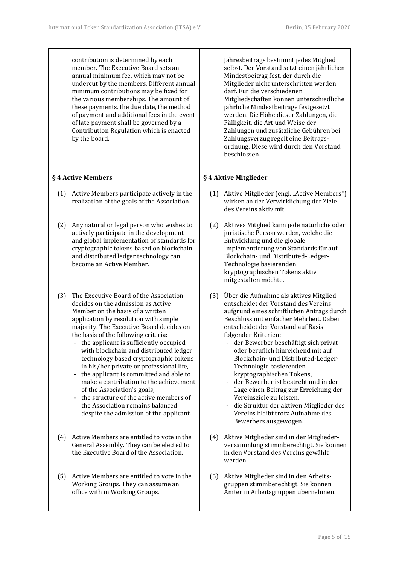contribution is determined by each member. The Executive Board sets an annual minimum fee, which may not be undercut by the members. Different annual minimum contributions may be fixed for the various memberships. The amount of these payments, the due date, the method of payment and additional fees in the event of late payment shall be governed by a Contribution Regulation which is enacted by the board.

## **§ 4 Active Members**

- (1) Active Members participate actively in the realization of the goals of the Association.
- (2) Any natural or legal person who wishes to actively participate in the development and global implementation of standards for cryptographic tokens based on blockchain and distributed ledger technology can become an Active Member.
- (3) The Executive Board of the Association decides on the admission as Active Member on the basis of a written application by resolution with simple majority. The Executive Board decides on the basis of the following criteria:
	- the applicant is sufficiently occupied with blockchain and distributed ledger technology based cryptographic tokens in his/her private or professional life,
	- the applicant is committed and able to make a contribution to the achievement of the Association's goals,
	- the structure of the active members of the Association remains balanced despite the admission of the applicant.
- (4) Active Members are entitled to vote in the General Assembly. They can be elected to the Executive Board of the Association.
- (5) Active Members are entitled to vote in the Working Groups. They can assume an office with in Working Groups.

Jahresbeitrags bestimmt jedes Mitglied selbst. Der Vorstand setzt einen jährlichen Mindestbeitrag fest, der durch die Mitglieder nicht unterschritten werden darf. Für die verschiedenen Mitgliedschaften können unterschiedliche jährliche Mindestbeiträge festgesetzt werden. Die Höhe dieser Zahlungen, die Fälligkeit, die Art und Weise der Zahlungen und zusätzliche Gebühren bei Zahlungsverzug regelt eine Beitragsordnung. Diese wird durch den Vorstand beschlossen.

## **§ 4 Aktive Mitglieder**

- (1) Aktive Mitglieder (engl. "Active Members") wirken an der Verwirklichung der Ziele des Vereins aktiv mit.
- (2) Aktives Mitglied kann jede natürliche oder juristische Person werden, welche die Entwicklung und die globale Implementierung von Standards für auf Blockchain- und Distributed-Ledger-Technologie basierenden kryptographischen Tokens aktiv mitgestalten möchte.
- (3) Über die Aufnahme als aktives Mitglied entscheidet der Vorstand des Vereins aufgrund eines schriftlichen Antrags durch Beschluss mit einfacher Mehrheit. Dabei entscheidet der Vorstand auf Basis folgender Kriterien:
	- der Bewerber beschäftigt sich privat oder beruflich hinreichend mit auf Blockchain- und Distributed-Ledger-Technologie basierenden kryptographischen Tokens,
	- der Bewerber ist bestrebt und in der Lage einen Beitrag zur Erreichung der Vereinsziele zu leisten,
	- die Struktur der aktiven Mitglieder des Vereins bleibt trotz Aufnahme des Bewerbers ausgewogen.
- (4) Aktive Mitglieder sind in der Mitgliederversammlung stimmberechtigt. Sie können in den Vorstand des Vereins gewählt werden.
- (5) Aktive Mitglieder sind in den Arbeitsgruppen stimmberechtigt. Sie können Ämter in Arbeitsgruppen übernehmen.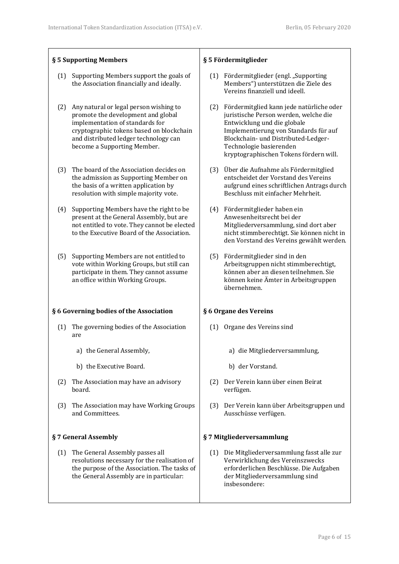#### **§ 5 Supporting Members**

- (1) Supporting Members support the goals of the Association financially and ideally.
- (2) Any natural or legal person wishing to promote the development and global implementation of standards for cryptographic tokens based on blockchain and distributed ledger technology can become a Supporting Member.
- (3) The board of the Association decides on the admission as Supporting Member on the basis of a written application by resolution with simple majority vote.
- (4) Supporting Members have the right to be present at the General Assembly, but are not entitled to vote. They cannot be elected to the Executive Board of the Association.
- (5) Supporting Members are not entitled to vote within Working Groups, but still can participate in them. They cannot assume an office within Working Groups.

#### **§ 6 Governing bodies of the Association**

- (1) The governing bodies of the Association are
	- a) the General Assembly,
	- b) the Executive Board.
- (2) The Association may have an advisory board.
- (3) The Association may have Working Groups and Committees.

## **§ 7 General Assembly**

(1) The General Assembly passes all resolutions necessary for the realisation of the purpose of the Association. The tasks of the General Assembly are in particular:

#### **§ 5 Fördermitglieder**

- (1) Fördermitglieder (engl. "Supporting Members") unterstützen die Ziele des Vereins finanziell und ideell.
- (2) Fördermitglied kann jede natürliche oder juristische Person werden, welche die Entwicklung und die globale Implementierung von Standards für auf Blockchain- und Distributed-Ledger-Technologie basierenden kryptographischen Tokens fördern will.
- (3) Über die Aufnahme als Fördermitglied entscheidet der Vorstand des Vereins aufgrund eines schriftlichen Antrags durch Beschluss mit einfacher Mehrheit.
- (4) Fördermitglieder haben ein Anwesenheitsrecht bei der Mitgliederversammlung, sind dort aber nicht stimmberechtigt. Sie können nicht in den Vorstand des Vereins gewählt werden.
- (5) Fördermitglieder sind in den Arbeitsgruppen nicht stimmberechtigt, können aber an diesen teilnehmen. Sie können keine Ämter in Arbeitsgruppen übernehmen.

## **§ 6 Organe des Vereins**

- (1) Organe des Vereins sind
	- a) die Mitgliederversammlung,
	- b) der Vorstand.
- (2) Der Verein kann über einen Beirat verfügen.
- (3) Der Verein kann über Arbeitsgruppen und Ausschüsse verfügen.

## **§ 7 Mitgliederversammlung**

(1) Die Mitgliederversammlung fasst alle zur Verwirklichung des Vereinszwecks erforderlichen Beschlüsse. Die Aufgaben der Mitgliederversammlung sind insbesondere: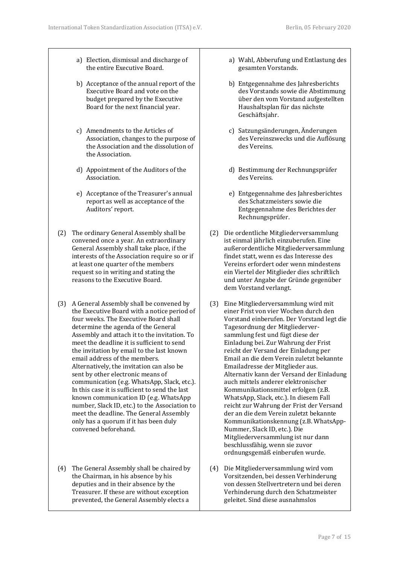- a) Election, dismissal and discharge of the entire Executive Board.
- b) Acceptance of the annual report of the Executive Board and vote on the budget prepared by the Executive Board for the next financial year.
- c) Amendments to the Articles of Association, changes to the purpose of the Association and the dissolution of the Association.
- d) Appointment of the Auditors of the Association.
- e) Acceptance of the Treasurer's annual report as well as acceptance of the Auditors' report.
- (2) The ordinary General Assembly shall be convened once a year. An extraordinary General Assembly shall take place, if the interests of the Association require so or if at least one quarter of the members request so in writing and stating the reasons to the Executive Board.
- (3) A General Assembly shall be convened by the Executive Board with a notice period of four weeks. The Executive Board shall determine the agenda of the General Assembly and attach it to the invitation. To meet the deadline it is sufficient to send the invitation by email to the last known email address of the members. Alternatively, the invitation can also be sent by other electronic means of communication (e.g. WhatsApp, Slack, etc.). In this case it is sufficient to send the last known communication ID (e.g. WhatsApp number, Slack ID, etc.) to the Association to meet the deadline. The General Assembly only has a quorum if it has been duly convened beforehand.
- (4) The General Assembly shall be chaired by the Chairman, in his absence by his deputies and in their absence by the Treasurer. If these are without exception prevented, the General Assembly elects a
- a) Wahl, Abberufung und Entlastung des gesamten Vorstands.
- b) Entgegennahme des Jahresberichts des Vorstands sowie die Abstimmung über den vom Vorstand aufgestellten Haushaltsplan für das nächste Geschäftsjahr.
- c) Satzungsänderungen, Änderungen des Vereinszwecks und die Auflösung des Vereins.
- d) Bestimmung der Rechnungsprüfer des Vereins.
- e) Entgegennahme des Jahresberichtes des Schatzmeisters sowie die Entgegennahme des Berichtes der Rechnungsprüfer.
- (2) Die ordentliche Mitgliederversammlung ist einmal jährlich einzuberufen. Eine außerordentliche Mitgliederversammlung findet statt, wenn es das Interesse des Vereins erfordert oder wenn mindestens ein Viertel der Mitglieder dies schriftlich und unter Angabe der Gründe gegenüber dem Vorstand verlangt.
- (3) Eine Mitgliederversammlung wird mit einer Frist von vier Wochen durch den Vorstand einberufen. Der Vorstand legt die Tagesordnung der Mitgliederversammlung fest und fügt diese der Einladung bei. Zur Wahrung der Frist reicht der Versand der Einladung per Email an die dem Verein zuletzt bekannte Emailadresse der Mitglieder aus. Alternativ kann der Versand der Einladung auch mittels anderer elektronischer Kommunikationsmittel erfolgen (z.B. WhatsApp, Slack, etc.). In diesem Fall reicht zur Wahrung der Frist der Versand der an die dem Verein zuletzt bekannte Kommunikationskennung (z.B. WhatsApp-Nummer, Slack ID, etc.). Die Mitgliederversammlung ist nur dann beschlussfähig, wenn sie zuvor ordnungsgemäß einberufen wurde.
- (4) Die Mitgliederversammlung wird vom Vorsitzenden, bei dessen Verhinderung von dessen Stellvertretern und bei deren Verhinderung durch den Schatzmeister geleitet. Sind diese ausnahmslos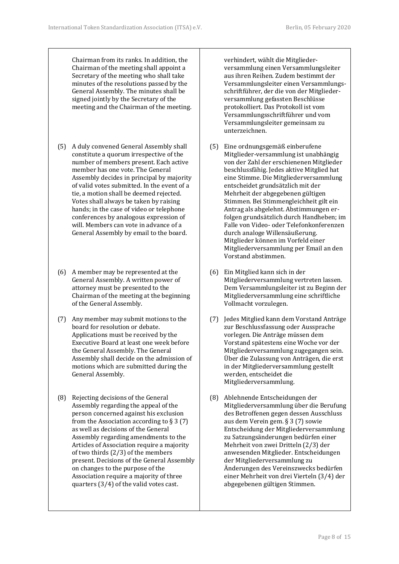Chairman from its ranks. In addition, the Chairman of the meeting shall appoint a Secretary of the meeting who shall take minutes of the resolutions passed by the General Assembly. The minutes shall be signed jointly by the Secretary of the meeting and the Chairman of the meeting.

- (5) A duly convened General Assembly shall constitute a quorum irrespective of the number of members present. Each active member has one vote. The General Assembly decides in principal by majority of valid votes submitted. In the event of a tie, a motion shall be deemed rejected. Votes shall always be taken by raising hands; in the case of video or telephone conferences by analogous expression of will. Members can vote in advance of a General Assembly by email to the board.
- (6) A member may be represented at the General Assembly. A written power of attorney must be presented to the Chairman of the meeting at the beginning of the General Assembly.
- (7) Any member may submit motions to the board for resolution or debate. Applications must be received by the Executive Board at least one week before the General Assembly. The General Assembly shall decide on the admission of motions which are submitted during the General Assembly.
- (8) Rejecting decisions of the General Assembly regarding the appeal of the person concerned against his exclusion from the Association according to  $\S 3(7)$ as well as decisions of the General Assembly regarding amendments to the Articles of Association require a majority of two thirds (2/3) of the members present. Decisions of the General Assembly on changes to the purpose of the Association require a majority of three quarters (3/4) of the valid votes cast.

verhindert, wählt die Mitgliederversammlung einen Versammlungsleiter aus ihren Reihen. Zudem bestimmt der Versammlungsleiter einen Versammlungsschriftführer, der die von der Mitgliederversammlung gefassten Beschlüsse protokolliert. Das Protokoll ist vom Versammlungsschriftführer und vom Versammlungsleiter gemeinsam zu unterzeichnen.

- (5) Eine ordnungsgemäß einberufene Mitglieder-versammlung ist unabhängig von der Zahl der erschienenen Mitglieder beschlussfähig. Jedes aktive Mitglied hat eine Stimme. Die Mitgliederversammlung entscheidet grundsätzlich mit der Mehrheit der abgegebenen gültigen Stimmen. Bei Stimmengleichheit gilt ein Antrag als abgelehnt. Abstimmungen erfolgen grundsätzlich durch Handheben; im Falle von Video- oder Telefonkonferenzen durch analoge Willensäußerung. Mitglieder können im Vorfeld einer Mitgliederversammlung per Email an den Vorstand abstimmen.
- (6) Ein Mitglied kann sich in der Mitgliederversammlung vertreten lassen. Dem Versammlungsleiter ist zu Beginn der Mitgliederversammlung eine schriftliche Vollmacht vorzulegen.
- (7) Jedes Mitglied kann dem Vorstand Anträge zur Beschlussfassung oder Aussprache vorlegen. Die Anträge müssen dem Vorstand spätestens eine Woche vor der Mitgliederversammlung zugegangen sein. Über die Zulassung von Anträgen, die erst in der Mitgliederversammlung gestellt werden, entscheidet die Mitgliederversammlung.
- (8) Ablehnende Entscheidungen der Mitgliederversammlung über die Berufung des Betroffenen gegen dessen Ausschluss aus dem Verein gem. § 3 (7) sowie Entscheidung der Mitgliederversammlung zu Satzungsänderungen bedürfen einer Mehrheit von zwei Dritteln (2/3) der anwesenden Mitglieder. Entscheidungen der Mitgliederversammlung zu Änderungen des Vereinszwecks bedürfen einer Mehrheit von drei Vierteln (3/4) der abgegebenen gültigen Stimmen.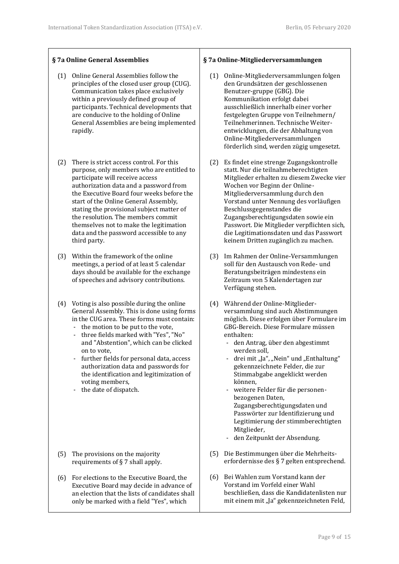#### **§ 7a Online General Assemblies**

- (1) Online General Assemblies follow the principles of the closed user group (CUG). Communication takes place exclusively within a previously defined group of participants. Technical developments that are conducive to the holding of Online General Assemblies are being implemented rapidly.
- (2) There is strict access control. For this purpose, only members who are entitled to participate will receive access authorization data and a password from the Executive Board four weeks before the start of the Online General Assembly, stating the provisional subject matter of the resolution. The members commit themselves not to make the legitimation data and the password accessible to any third party.
- (3) Within the framework of the online meetings, a period of at least 5 calendar days should be available for the exchange of speeches and advisory contributions.
- (4) Voting is also possible during the online General Assembly. This is done using forms in the CUG area. These forms must contain:
	- the motion to be put to the vote,
	- three fields marked with "Yes", "No" and "Abstention", which can be clicked on to vote,
	- further fields for personal data, access authorization data and passwords for the identification and legitimization of voting members,
	- the date of dispatch.
- (5) The provisions on the majority requirements of § 7 shall apply.
- (6) For elections to the Executive Board, the Executive Board may decide in advance of an election that the lists of candidates shall only be marked with a field "Yes", which

#### **§ 7a Online-Mitgliederversammlungen**

- (1) Online-Mitgliederversammlungen folgen den Grundsätzen der geschlossenen Benutzer-gruppe (GBG). Die Kommunikation erfolgt dabei ausschließlich innerhalb einer vorher festgelegten Gruppe von Teilnehmern/ Teilnehmerinnen. Technische Weiterentwicklungen, die der Abhaltung von Online-Mitgliederversammlungen förderlich sind, werden zügig umgesetzt.
- (2) Es findet eine strenge Zugangskontrolle statt. Nur die teilnahmeberechtigten Mitglieder erhalten zu diesem Zwecke vier Wochen vor Beginn der Online-Mitgliederversammlung durch den Vorstand unter Nennung des vorläufigen Beschlussgegenstandes die Zugangsberechtigungsdaten sowie ein Passwort. Die Mitglieder verpflichten sich, die Legitimationsdaten und das Passwort keinem Dritten zugänglich zu machen.
- (3) Im Rahmen der Online-Versammlungen soll für den Austausch von Rede- und Beratungsbeiträgen mindestens ein Zeitraum von 5 Kalendertagen zur Verfügung stehen.
- (4) Während der Online-Mitgliederversammlung sind auch Abstimmungen möglich. Diese erfolgen über Formulare im GBG-Bereich. Diese Formulare müssen enthalten:
	- den Antrag, über den abgestimmt werden soll,
	- drei mit "Ja", "Nein" und "Enthaltung" gekennzeichnete Felder, die zur Stimmabgabe angeklickt werden können,
	- weitere Felder für die personenbezogenen Daten, Zugangsberechtigungsdaten und Passwörter zur Identifizierung und Legitimierung der stimmberechtigten Mitglieder,
	- den Zeitpunkt der Absendung.
- (5) Die Bestimmungen über die Mehrheitserfordernisse des § 7 gelten entsprechend.
- (6) Bei Wahlen zum Vorstand kann der Vorstand im Vorfeld einer Wahl beschließen, dass die Kandidatenlisten nur mit einem mit "Ja" gekennzeichneten Feld,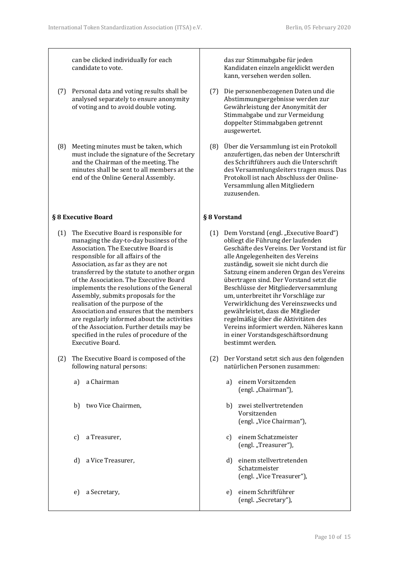can be clicked individually for each candidate to vote.

- (7) Personal data and voting results shall be analysed separately to ensure anonymity of voting and to avoid double voting.
- (8) Meeting minutes must be taken, which must include the signature of the Secretary and the Chairman of the meeting. The minutes shall be sent to all members at the end of the Online General Assembly.

#### **§ 8 Executive Board**

- (1) The Executive Board is responsible for managing the day-to-day business of the Association. The Executive Board is responsible for all affairs of the Association, as far as they are not transferred by the statute to another organ of the Association. The Executive Board implements the resolutions of the General Assembly, submits proposals for the realisation of the purpose of the Association and ensures that the members are regularly informed about the activities of the Association. Further details may be specified in the rules of procedure of the Executive Board.
- (2) The Executive Board is composed of the following natural persons:
	- a) a Chairman
	- b) two Vice Chairmen,
	- c) a Treasurer,
	- d) a Vice Treasurer,
	- e) a Secretary,

das zur Stimmabgabe für jeden Kandidaten einzeln angeklickt werden kann, versehen werden sollen.

- (7) Die personenbezogenen Daten und die Abstimmungsergebnisse werden zur Gewährleistung der Anonymität der Stimmabgabe und zur Vermeidung doppelter Stimmabgaben getrennt ausgewertet.
- (8) Über die Versammlung ist ein Protokoll anzufertigen, das neben der Unterschrift des Schriftführers auch die Unterschrift des Versammlungsleiters tragen muss. Das Protokoll ist nach Abschluss der Online-Versammlung allen Mitgliedern zuzusenden.

## **§ 8 Vorstand**

- (1) Dem Vorstand (engl. "Executive Board") obliegt die Führung der laufenden Geschäfte des Vereins. Der Vorstand ist für alle Angelegenheiten des Vereins zuständig, soweit sie nicht durch die Satzung einem anderen Organ des Vereins übertragen sind. Der Vorstand setzt die Beschlüsse der Mitgliederversammlung um, unterbreitet ihr Vorschläge zur Verwirklichung des Vereinszwecks und gewährleistet, dass die Mitglieder regelmäßig über die Aktivitäten des Vereins informiert werden. Näheres kann in einer Vorstandsgeschäftsordnung bestimmt werden.
- (2) Der Vorstand setzt sich aus den folgenden natürlichen Personen zusammen:
	- a) einem Vorsitzenden (engl. "Chairman"),
	- b) zwei stellvertretenden Vorsitzenden (engl. "Vice Chairman"),
	- c) einem Schatzmeister (engl. "Treasurer"),
	- d) einem stellvertretenden Schatzmeister (engl. "Vice Treasurer"),
	- e) einem Schriftführer (engl. "Secretary"),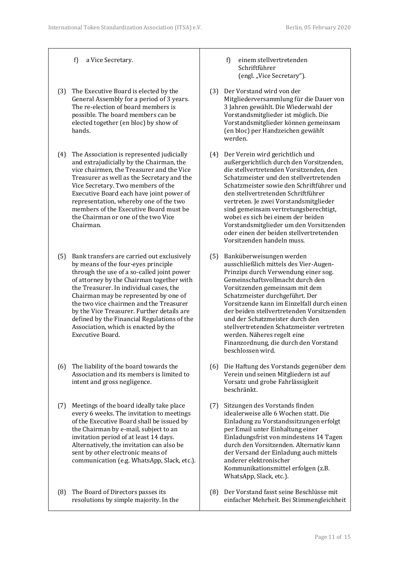#### f) a Vice Secretary.

- (3) The Executive Board is elected by the General Assembly for a period of 3 years. The re-election of board members is possible. The board members can be elected together (en bloc) by show of hands.
- (4) The Association is represented judicially and extrajudicially by the Chairman, the vice chairmen, the Treasurer and the Vice Treasurer as well as the Secretary and the Vice Secretary. Two members of the Executive Board each have joint power of representation, whereby one of the two members of the Executive Board must be the Chairman or one of the two Vice Chairman.
- (5) Bank transfers are carried out exclusively by means of the four-eyes principle through the use of a so-called joint power of attorney by the Chairman together with the Treasurer. In individual cases, the Chairman may be represented by one of the two vice chairmen and the Treasurer by the Vice Treasurer. Further details are defined by the Financial Regulations of the Association, which is enacted by the Executive Board.
- (6) The liability of the board towards the Association and its members is limited to intent and gross negligence.
- (7) Meetings of the board ideally take place every 6 weeks. The invitation to meetings of the Executive Board shall be issued by the Chairman by e-mail, subject to an invitation period of at least 14 days. Alternatively, the invitation can also be sent by other electronic means of communication (e.g. WhatsApp, Slack, etc.).
- (8) The Board of Directors passes its resolutions by simple majority. In the
- f) einem stellvertretenden Schriftführer (engl. "Vice Secretary").
- (3) Der Vorstand wird von der Mitgliederversammlung für die Dauer von 3 Jahren gewählt. Die Wiederwahl der Vorstandsmitglieder ist möglich. Die Vorstandsmitglieder können gemeinsam (en bloc) per Handzeichen gewählt werden.
- (4) Der Verein wird gerichtlich und außergerichtlich durch den Vorsitzenden, die stellvertretenden Vorsitzenden, den Schatzmeister und den stellvertretenden Schatzmeister sowie den Schriftführer und den stellvertretenden Schriftführer vertreten. Je zwei Vorstandsmitglieder sind gemeinsam vertretungsberechtigt, wobei es sich bei einem der beiden Vorstandsmitglieder um den Vorsitzenden oder einen der beiden stellvertretenden Vorsitzenden handeln muss.
- (5) Banküberweisungen werden ausschließlich mittels des Vier-Augen-Prinzips durch Verwendung einer sog. Gemeinschaftsvollmacht durch den Vorsitzenden gemeinsam mit dem Schatzmeister durchgeführt. Der Vorsitzende kann im Einzelfall durch einen der beiden stellvertretenden Vorsitzenden und der Schatzmeister durch den stellvertretenden Schatzmeister vertreten werden. Näheres regelt eine Finanzordnung, die durch den Vorstand beschlossen wird.
- (6) Die Haftung des Vorstands gegenüber dem Verein und seinen Mitgliedern ist auf Vorsatz und grobe Fahrlässigkeit beschränkt.
- (7) Sitzungen des Vorstands finden idealerweise alle 6 Wochen statt. Die Einladung zu Vorstandssitzungen erfolgt per Email unter Einhaltung einer Einladungsfrist von mindestens 14 Tagen durch den Vorsitzenden. Alternativ kann der Versand der Einladung auch mittels anderer elektronischer Kommunikationsmittel erfolgen (z.B. WhatsApp, Slack, etc.).
- (8) Der Vorstand fasst seine Beschlüsse mit einfacher Mehrheit. Bei Stimmengleichheit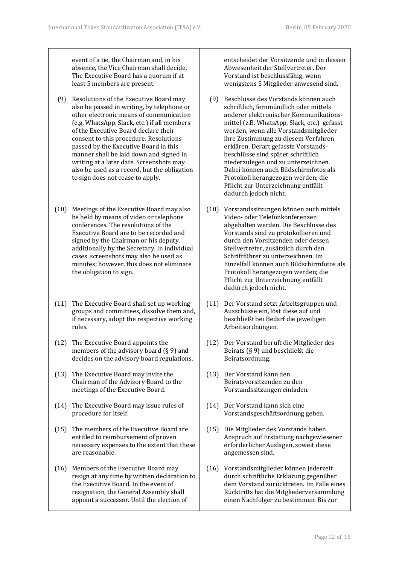event of a tie, the Chairman and, in his absence, the Vice Chairman shall decide. The Executive Board has a quorum if at least 5 members are present.

- (9) Resolutions of the Executive Board may also be passed in writing, by telephone or other electronic means of communication (e.g. WhatsApp, Slack, etc.) if all members of the Executive Board declare their consent to this procedure. Resolutions passed by the Executive Board in this manner shall be laid down and signed in writing at a later date. Screenshots may also be used as a record, but the obligation to sign does not cease to apply.
- (10) Meetings of the Executive Board may also be held by means of video or telephone conferences. The resolutions of the Executive Board are to be recorded and signed by the Chairman or his deputy, additionally by the Secretary. In individual cases, screenshots may also be used as minutes; however, this does not eliminate the obligation to sign.
- (11) The Executive Board shall set up working groups and committees, dissolve them and, if necessary, adopt the respective working rules.
- (12) The Executive Board appoints the members of the advisory board  $(§ 9)$  and decides on the advisory board regulations.
- (13) The Executive Board may invite the Chairman of the Advisory Board to the meetings of the Executive Board.
- (14) The Executive Board may issue rules of procedure for itself.
- (15) The members of the Executive Board are entitled to reimbursement of proven necessary expenses to the extent that these are reasonable.
- (16) Members of the Executive Board may resign at any time by written declaration to the Executive Board. In the event of resignation, the General Assembly shall appoint a successor. Until the election of

entscheidet der Vorsitzende und in dessen Abwesenheit der Stellvertreter. Der Vorstand ist beschlussfähig, wenn wenigstens 5 Mitglieder anwesend sind.

- (9) Beschlüsse des Vorstands können auch schriftlich, fernmündlich oder mittels anderer elektronischer Kommunikationsmittel (z.B. WhatsApp, Slack, etc.) gefasst werden, wenn alle Vorstandsmitglieder ihre Zustimmung zu diesem Verfahren erklären. Derart gefasste Vorstandsbeschlüsse sind später schriftlich niederzulegen und zu unterzeichnen. Dabei können auch Bildschirmfotos als Protokoll herangezogen werden; die Pflicht zur Unterzeichnung entfällt dadurch jedoch nicht.
- (10) Vorstandssitzungen können auch mittels Video- oder Telefonkonferenzen abgehalten werden. Die Beschlüsse des Vorstands sind zu protokollieren und durch den Vorsitzenden oder dessen Stellvertreter, zusätzlich durch den Schriftführer zu unterzeichnen. Im Einzelfall können auch Bildschirmfotos als Protokoll herangezogen werden; die Pflicht zur Unterzeichnung entfällt dadurch jedoch nicht.
- (11) Der Vorstand setzt Arbeitsgruppen und Ausschüsse ein, löst diese auf und beschließt bei Bedarf die jeweiligen Arbeitsordnungen.
- (12) Der Vorstand beruft die Mitglieder des Beirats (§ 9) und beschließt die Beiratsordnung.
- (13) Der Vorstand kann den Beiratsvorsitzenden zu den Vorstandssitzungen einladen.
- (14) Der Vorstand kann sich eine Vorstandsgeschäftsordnung geben.
- (15) Die Mitglieder des Vorstands haben Anspruch auf Erstattung nachgewiesener erforderlicher Auslagen, soweit diese angemessen sind.
- (16) Vorstandsmitglieder können jederzeit durch schriftliche Erklärung gegenüber dem Vorstand zurücktreten. Im Falle eines Rücktritts hat die Mitgliederversammlung einen Nachfolger zu bestimmen. Bis zur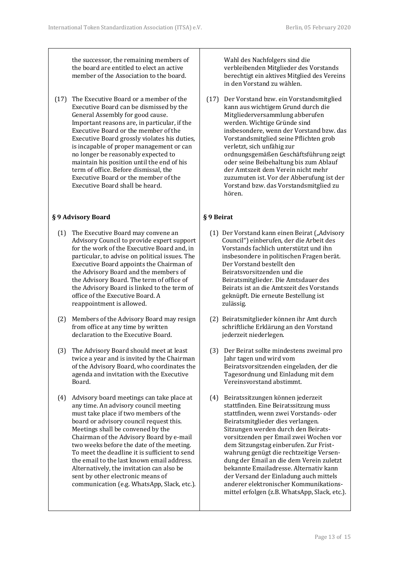the successor, the remaining members of the board are entitled to elect an active member of the Association to the board.

(17) The Executive Board or a member of the Executive Board can be dismissed by the General Assembly for good cause. Important reasons are, in particular, if the Executive Board or the member of the Executive Board grossly violates his duties, is incapable of proper management or can no longer be reasonably expected to maintain his position until the end of his term of office. Before dismissal, the Executive Board or the member of the Executive Board shall be heard.

## **§ 9 Advisory Board**

- (1) The Executive Board may convene an Advisory Council to provide expert support for the work of the Executive Board and, in particular, to advise on political issues. The Executive Board appoints the Chairman of the Advisory Board and the members of the Advisory Board. The term of office of the Advisory Board is linked to the term of office of the Executive Board. A reappointment is allowed.
- (2) Members of the Advisory Board may resign from office at any time by written declaration to the Executive Board.
- (3) The Advisory Board should meet at least twice a year and is invited by the Chairman of the Advisory Board, who coordinates the agenda and invitation with the Executive Board.
- (4) Advisory board meetings can take place at any time. An advisory council meeting must take place if two members of the board or advisory council request this. Meetings shall be convened by the Chairman of the Advisory Board by e-mail two weeks before the date of the meeting. To meet the deadline it is sufficient to send the email to the last known email address. Alternatively, the invitation can also be sent by other electronic means of communication (e.g. WhatsApp, Slack, etc.).

Wahl des Nachfolgers sind die verbleibenden Mitglieder des Vorstands berechtigt ein aktives Mitglied des Vereins in den Vorstand zu wählen.

(17) Der Vorstand bzw. ein Vorstandsmitglied kann aus wichtigem Grund durch die Mitgliederversammlung abberufen werden. Wichtige Gründe sind insbesondere, wenn der Vorstand bzw. das Vorstandsmitglied seine Pflichten grob verletzt, sich unfähig zur ordnungsgemäßen Geschäftsführung zeigt oder seine Beibehaltung bis zum Ablauf der Amtszeit dem Verein nicht mehr zuzumuten ist. Vor der Abberufung ist der Vorstand bzw. das Vorstandsmitglied zu hören.

## **§ 9 Beirat**

- (1) Der Vorstand kann einen Beirat ("Advisory Council") einberufen, der die Arbeit des Vorstands fachlich unterstützt und ihn insbesondere in politischen Fragen berät. Der Vorstand bestellt den Beiratsvorsitzenden und die Beiratsmitglieder. Die Amtsdauer des Beirats ist an die Amtszeit des Vorstands geknüpft. Die erneute Bestellung ist zulässig.
- (2) Beiratsmitglieder können ihr Amt durch schriftliche Erklärung an den Vorstand jederzeit niederlegen.
- (3) Der Beirat sollte mindestens zweimal pro Jahr tagen und wird vom Beiratsvorsitzenden eingeladen, der die Tagesordnung und Einladung mit dem Vereinsvorstand abstimmt.
- (4) Beiratssitzungen können jederzeit stattfinden. Eine Beiratssitzung muss stattfinden, wenn zwei Vorstands- oder Beiratsmitglieder dies verlangen. Sitzungen werden durch den Beiratsvorsitzenden per Email zwei Wochen vor dem Sitzungstag einberufen. Zur Fristwahrung genügt die rechtzeitige Versendung der Email an die dem Verein zuletzt bekannte Emailadresse. Alternativ kann der Versand der Einladung auch mittels anderer elektronischer Kommunikationsmittel erfolgen (z.B. WhatsApp, Slack, etc.).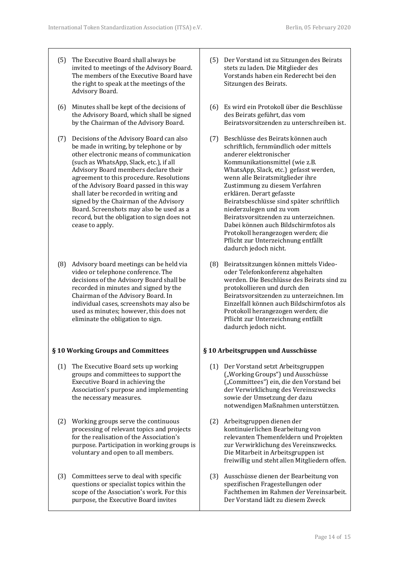- (5) The Executive Board shall always be invited to meetings of the Advisory Board. The members of the Executive Board have the right to speak at the meetings of the Advisory Board.
- (6) Minutes shall be kept of the decisions of the Advisory Board, which shall be signed by the Chairman of the Advisory Board.
- (7) Decisions of the Advisory Board can also be made in writing, by telephone or by other electronic means of communication (such as WhatsApp, Slack, etc.), if all Advisory Board members declare their agreement to this procedure. Resolutions of the Advisory Board passed in this way shall later be recorded in writing and signed by the Chairman of the Advisory Board. Screenshots may also be used as a record, but the obligation to sign does not cease to apply.
- (8) Advisory board meetings can be held via video or telephone conference. The decisions of the Advisory Board shall be recorded in minutes and signed by the Chairman of the Advisory Board. In individual cases, screenshots may also be used as minutes; however, this does not eliminate the obligation to sign.

## **§ 10 Working Groups and Committees**

- (1) The Executive Board sets up working groups and committees to support the Executive Board in achieving the Association's purpose and implementing the necessary measures.
- (2) Working groups serve the continuous processing of relevant topics and projects for the realisation of the Association's purpose. Participation in working groups is voluntary and open to all members.
- (3) Committees serve to deal with specific questions or specialist topics within the scope of the Association's work. For this purpose, the Executive Board invites
- (5) Der Vorstand ist zu Sitzungen des Beirats stets zu laden. Die Mitglieder des Vorstands haben ein Rederecht bei den Sitzungen des Beirats.
- (6) Es wird ein Protokoll über die Beschlüsse des Beirats geführt, das vom Beiratsvorsitzenden zu unterschreiben ist.
- (7) Beschlüsse des Beirats können auch schriftlich, fernmündlich oder mittels anderer elektronischer Kommunikationsmittel (wie z.B. WhatsApp, Slack, etc.) gefasst werden, wenn alle Beiratsmitglieder ihre Zustimmung zu diesem Verfahren erklären. Derart gefasste Beiratsbeschlüsse sind später schriftlich niederzulegen und zu vom Beiratsvorsitzenden zu unterzeichnen. Dabei können auch Bildschirmfotos als Protokoll herangezogen werden; die Pflicht zur Unterzeichnung entfällt dadurch jedoch nicht.
- (8) Beiratssitzungen können mittels Videooder Telefonkonferenz abgehalten werden. Die Beschlüsse des Beirats sind zu protokollieren und durch den Beiratsvorsitzenden zu unterzeichnen. Im Einzelfall können auch Bildschirmfotos als Protokoll herangezogen werden; die Pflicht zur Unterzeichnung entfällt dadurch jedoch nicht.

## **§ 10 Arbeitsgruppen und Ausschüsse**

- (1) Der Vorstand setzt Arbeitsgruppen ("Working Groups") und Ausschüsse ("Committees") ein, die den Vorstand bei der Verwirklichung des Vereinszwecks sowie der Umsetzung der dazu notwendigen Maßnahmen unterstützen.
- (2) Arbeitsgruppen dienen der kontinuierlichen Bearbeitung von relevanten Themenfeldern und Projekten zur Verwirklichung des Vereinszwecks. Die Mitarbeit in Arbeitsgruppen ist freiwillig und steht allen Mitgliedern offen.
- (3) Ausschüsse dienen der Bearbeitung von spezifischen Fragestellungen oder Fachthemen im Rahmen der Vereinsarbeit. Der Vorstand lädt zu diesem Zweck